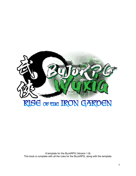

A template for the BuJoRPG (Version 1.8) This book is complete with all the rules for the BuJoRPG, along with the template.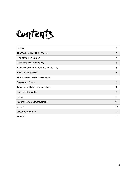

| Preface                                   | 3              |
|-------------------------------------------|----------------|
| The World of BuJoRPG: Wuxia               | 4              |
| Rise of the Iron Garden                   | 4              |
| Definitions and Terminology               | 5              |
| Hit Points (HP) vs Experience Points (XP) | 5              |
| How Do I Regain HP?                       | 5              |
| Musts, Dailies, and Achievements          | 6              |
| Quests and Goals                          | 6              |
| <b>Achievement Milestone Multipliers</b>  | $\overline{7}$ |
| Gear and the Market                       | 8              |
| Levels                                    | 9              |
| Integrity Towards Improvement             | 11             |
| Set Up                                    | 12             |
| <b>Quest Benchmarks</b>                   | 14             |
| Feedback                                  | 15             |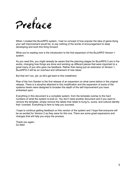

When I created the BuJoRPG system, I had no concept of how popular the idea of game-ifying your self improvement would be, to say nothing of the words of encouragement to keep developing and work this thing forward.

What you're reading now is the introduction to the first expansion of the BuJoRPG Version 1 system.

As you read this, you might already be aware that the planning stages for BuJoRPG 2 are in the works, changing how things are done and working up different pieces that were important to a great many of you who gave me feedback. Rather than being just an extension of Version 1, BuJoRPG 2 will be an overhaul and refinement of new ideas.

But that isn't out, yet, so let's get back to this installment.

Rise of the Iron Garden is the first release of an expansion on what came before in the original release. There is a storyline attached to this modification and the expansion of some of the systems herein were designed to broaden the depth of the self improvement you have embarked upon.

Everything in this document is a complete system, from the template overlay to the hard numbers of what the system is built on. You don't need another document and if you want to remove the template, simply remove the labels that relate to kung fu, wuxia, and cultural identity that I overlaid. Everything is here to help you succeed.

I hope to continue getting feedback on this version of the system and I hope that everyone will be as excited for Version 2 as they were for this one. There are some great expansions and changes that will help you enjoy the process.

Thank you again, DJ Allen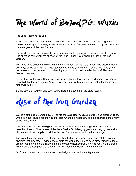

The Jade Realm needs you.

In the shadows of the Jade Palace, under the noses of all the heroes that have begun their training in this Age of Heroes, a new threat looms large. Our time of unrest has grown great with the emergence of the Iron Garden.

Those who embark on this great journey are needed to fight against the enemies of progress. The enemies come from the shadow of the Jade Palace, this signals the Rise of the Iron Garden.

You need to be acquiring life skills and honing yourself for the trials ahead. The disorganization and ways of the past can no longer get you through to your ultimate destiny. We need you to become one of the greatest in this dawning Age of Heroes. Will you be the one? The Iron Garden is coming.

So much about the Jade Realm is yet unknown, though through effort and persistence you will reveal all that there is to offer. As with any great journey through a new Realm, the focus must first begin within.

Be the best that you can and soon you will learn the secrets of the Jade Realm.



Warriors of the Iron Garden have crept into the Jade Realm, causing unrest and disorder. Those who sit on their laurels are their true targets. Change is necessary and this change is the enemy of the Iron Garden.

The Quests of the past have given the warriors tunnel vision, blinding them from the true potential of each of the Heroes of the Jade Realm. Such lengthy goals are bogging down what Heroes seek to accomplish, and thus the Iron Garden uses that to their advantage.

Impacting the character of the Heroes are their lack of protection, armor against the waves of enemies that they face. Having gone out into the world, the Heroes have discovered that there are a great many dangers that one must protect themselves from, and that requires the proper protection to accomplish that singular goal of freeing the Realm from stagnation.

Go forward, armed with the tools and knowledge to succeed in the fight ahead…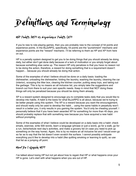

# Hit Points (HP) vs Experience Points (XP)

If you're new to role playing games, then you are probably new to the concept of hit points and experience points. In the BuJoRPG, specifically, hit points are the "punishment" mechanic and experience points are the "reward" mechanic. I'll be referring to them as HP and XP from here on out.

HP is a penalty system designed to get you to be doing things that you should already be doing daily, but either don't get done daily because of a lack of motivation or you simply forget about because something else came up. The reason HP only penalizes is that you have no reason not to be doing the action, therefore, a reward for doing something that is a requirement doesn't happen... because you should already be doing that action.

Some of the examples of what I believe should be done on a daily basis: loading the dishwasher, unloading the dishwasher, folding the laundry, washing the laundry, cleaning the car (interior), scooping the litter box, clearing the kitchen counter, putting away toys, and taking out the garbage. This is by no means an all inclusive list, you simply take the suggestions and branch out from there to suit your own specific needs. Keep in mind that NOT doing these things will only be penalized because you should be doing them already.

XP is a reward system designed to encourage you to complete tasks daily that you would like to develop into habits. A habit is the basis for what BuJoRPG is all about, because we're trying to be better people using this system. The XP is a reward because you want the encouragement, and should really only be used to develop the habit… using the same habits in perpetuity won't result in a better you, it only results in you gaming the system. You'd only be cheating yourself. I personally believe that if you have been awarded XP for something for more than 45 days, you should probably replace that with something new because you have acquired a new habit without prompting.

Some of the examples of what I believe could be developed on a daily basis into a habit: check emails, exercise, write 500 words, learn a language (phrase or just a word), go for a walk, go for a run, list/schedule next day's activities, and make a grocery list (in case you need to pick up something on the way home). Again, this is by no means an all inclusive list and I would even go so far as to say that the list doesn't even scratch the surface. I cannot possibly anticipate everything you'd like to develop into a habit (like quitting smoking or learning to quilt), so use that list as a jumping off point.

### How Do I Regain HP?

I've talked about losing HP but not yet about how to regain that HP or what happens once your HP is gone. Let's start with what happens when you are out of HP.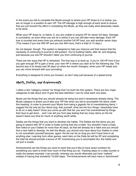In the event you fail to complete the Musts enough to where your HP drops to 0 or below, you are no longer in a position to earn XP. The HP damage is high enough at each level to ensure that you put forward the effort in completing the Musts, as they are really what absolutely needs to be done.

When your HP drops to, or below, 0, you are unable to acquire XP for seven full days. Damage is cumulative, so even when you are at or below 0 you can still take more damage. Each HP loss is counted and every time you exhaust another full HP load, you add another seven days. (This means if you lost 400 HP and you lost 400 more, that's a total of 14 days.)

Do not despair, though. The system is designed to help you improve and that means that the necessity of continuing to journal is still present. You're building habits, after all, and stopping just because you lost HP shouldn't deter you from continuing to journal.

There are two ways that HP is refreshed. The first way is to level up. If you're 100 HP from 0 but you gain enough XP to gain a level, your new HP is where you start at for the following day. The second way is to simply wait 30 days (or when the month changes), when your HP resets and you can move forward with your journaling.

Everything is designed to move you forward, so don't stop just because of a speed bump.

# Musts, Dailies, and Achievements

I utilize a few "category names" for things that I've built into this system. There are four major categories to talk about and I'll give the best definition I can for what each one does.

Musts are the things that you should already be doing but aren't necessarily already doing. The Musts category is where you'd take your HP hits when you fail to accomplish the items under this heading. In order to prevent your Musts from being a gigantic list of overwhelming items, I suggest the list only be four items long. Ask yourself: what are the four things I absolutely have to do on a daily basis? Once you come up with that list, you won't be overwhelmed by things that have to get done… and I can tell you from play testing that too many items on the list doesn't leave any time for much of anything worth while.

Dailies are the things that you want to develop into habits. The Dailies are the items you are going to reward with XP in order to foster turning that into a habit. You shouldn't have a Daily item listed on your Dailies for more than 45 days, as that will already be a habit and you should find a new habit to develop. As with the Musts, you should only have about four Dailies in order to not overwhelm yourself because, again, the list can be so long you don't have time to do anything else. Learning from other games, each item on the Daily list will be XP and completing the total list should provide a bonus of XP, incentivizing you to accomplish ALL the habits and not just a couple.

Achievements are the things you want to track that you'd like to have exact numbers for, something you want to know how much of that thing you do. Tracking steps on a step counter is really the easiest example I can provide, whereas you would otherwise just have "walked" instead of having that wonderful 10,000 steps. The Achievements will each have a "benchmark"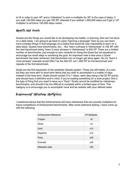to hit in order to earn XP, and a "milestone" to earn a multiplier for XP. In the case of steps, if you walk 100,000 steps you get 100 XP, whereas if you walked 1,000,000 steps you'll get a "x2" multiplier to all future 100,000 steps marks.

## Quests and Goals

Quests are the things you would like to be developing into habits, or learning, that can't be done on a daily basis. I am going to go back to using "learning a language" here as you can learn more complex things in that language as a Quest that would be near impossible to learn on a daily basis. Quests have benchmarks, too… like "learn a phrase in Vietnamese" is 100 XP, with the next benchmark being "learn 5 more phrases in Vietnamese" is 500 XP. There are a limited number of benchmarks, just enough to earn rewards for doing the Quest but not perpetual to encourage too small steps to achieving the goal. An important note is that once a Quest benchmark has been achieved, that benchmark can no longer get done again. So my "learn 5 more phrases" example would ONLY be the 500 XP, not 1,000 XP for the benchmark and repeats of the first benchmark.

Goals are the first expansion of the simplistic Quests system. These are still habits, of a sort, but they are more akin to short term items that you wish to accomplish in a matter of days instead of the long term. Goals should contain 5 to 7 steps, each step being a flat 50 XP points, and should have a definitive end in mind. If you're reading something for a work project, this is the type of thing that you need to have as a "Goal." Goals cannot be modified by milestones, benchmarks, and shouldn't be too difficult to complete within a limited span of time. This category is to encourage you to accomplish more and be realistic with your defined tasks.

# Achievement Milestone Multipliers

I mentioned above that the Achievements will have milestones that can provide multipliers for future completions of Achievement benchmarks. After some extensive testing, I have come up with the following:

| <b>Achievement Milestone</b> | <b>XP Multiplier</b> |
|------------------------------|----------------------|
| Copper                       | x <sub>2</sub>       |
| Silver                       | x5                   |
| Gold                         | x10                  |
| Sapphire                     | x15                  |
| Ruby                         | x20                  |
| Emerald                      | x25                  |
| Diamond Jade                 | x30                  |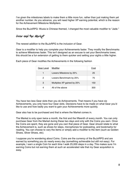I've given the milestones labels to make them a little more fun, rather than just making them yet another number. As you advance, you will need higher XP earning potential, which is the reason for the Achievement Milestone Multipliers.

Since the BuJoRPG: Wuxia is Chinese themed, I changed the most valuable modifier to "Jade."

#### Gear and the Market

The newest addition to the BuJoRPG is the inclusion of Gear.

Gear is a modifier to help you complete your Achievements faster. They modify the Benchmarks to achieve Milestones faster. This isn't designed as an excuse to set your Benchmarks lower, this should be a fun extension of getting to them quicker and setting your sights a little higher.

| Gear Level | Modifier                    | Cost |
|------------|-----------------------------|------|
| 1          | Lowers Milestone by 25%     | 25   |
| 2          | Lowers Benchmark by 25%     | 75   |
| 3          | Multiplies XP gained by 25% | 150  |
| 4          | All of the above            | 300  |

Each piece of Gear modifies the Achievements in the following fashion

You have two less Gear slots than you do Achievements. That means if you have six Achievements, you only have four Gear slots. Decisions have to be made on what Gear you'd like to use and how badly you want to gain your Achievements more quickly.

Gear also has to be purchased and that is where the Market comes in.

The Market is only open twice a month, the first and the fifteenth of every month. You can only purchase Gear from the Market during these two days and only with the Coins you earn. Once the Coins are spent, they are gone and you own that piece of Gear. Gear should relate to what the Achievement is, such as shoes for steps, microphones for podcasting, and bookmarks for reading. You can choose to vary the items or simply add a modifier to the item (such as Golden Shoes, Silver Shoes, etc).

I suppose you're wondering about Coins. Coins are the currency of the BuJoRPG and are earned by something you do nearly every day (something achievable but still not easy). For example, I earn a single Coin for each time I walk 25,000 steps in a day. This makes sure I'm earning Coins but not earning them at such an accelerated rate that my Gear acquisition is easy.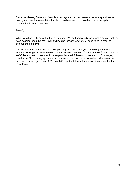Since the Market, Coins, and Gear is a new system, I will endeavor to answer questions as quickly as I can. I have explained all that I can here and will consider a more in-depth explanation in future releases.

#### Levels

What would an RPG be without levels to acquire? The heart of advancement is seeing that you have accomplished the next level and looking forward to what you need to do in order to achieve the next level.

The level system is designed to show you progress and gives you something abstract to achieve. Moving from level to level is the most basic mechanic for the BuJoRPG. Each level has an XP benchmark to reach, which also provides the HP base and how much HP damage you take for the Musts category. Below is the table for the basic leveling system, all information included. There is (in version 1.0) a level 50 cap, but future releases could increase that for more levels.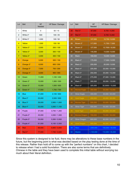| Lvl            | <b>Belt</b>          | <b>XP</b><br>Needed | HP Base / Damage | Lvl | <b>Belt</b>          | <b>XP</b><br>Needed | HP Base / Damage |
|----------------|----------------------|---------------------|------------------|-----|----------------------|---------------------|------------------|
| 1              | White                | $\mathbf 0$         | 50/15            | 26  | Red 3°               | 87,000              | 8,700 / 4,000    |
| $\overline{c}$ | White $2^\circ$      | 500                 | 100 / 25         | 27  | Red 4°               | 97,000              | 9,700/5,000      |
| 3              | White 3°             | 1,000               | 100 / 50         | 28  | <b>Brown</b>         | 107,000             | 10,700 / 6,000   |
| $\overline{4}$ | Yellow               | 1,500               | 150/50           | 29  | Brown 2°             | 117,000             | 11,700 / 7,000   |
| 5              | Yellow 2°            | 2,000               | 200 / 100        | 30  | Brown 3°             | 127,000             | 12,7000 / 8,000  |
| 6              | Yellow 3°            | 3,000               | 300 / 100        | 31  | Brown 4°             | 145,000             | 14,500 / 8,000   |
| $\overline{7}$ | Yellow 4°            | 4,000               | 400 / 150        | 32  | <b>Black</b>         | 160,000             | 16,000 / 9,000   |
| 8              | Orange               | 5,000               | 500 / 150        | 33  | Black 2°             | 175,000             | 17,500 / 9,000   |
| 9              | Orange <sup>2°</sup> | 6,000               | 600 / 200        | 34  | Black 3°             | 200,000             | 20,000 / 9,000   |
| 10             | Orange 3°            | 7,000               | 700 / 200        | 35  | Black 4°             | 225,000             | 22,500 / 10,000  |
| 11             | Orange 4°            | 9,000               | 900 / 300        | 36  | Black 5°             | 250,000             | 25,000 / 10,000  |
| 12             | Green                | 11,000              | 1,100 / 400      | 37  | Black 6°             | 275,000             | 27,500 / 15,000  |
| 13             | Green 2°             | 13,000              | 1,300 / 500      | 38  | Black 7°             | 300,000             | 30,000 / 15,000  |
| 14             | Green 3°             | 15,000              | 1,500 / 600      | 39  | Black 8°             | 325,000             | 32,5000 / 15,000 |
| 15             | Green 4°             | 17,000              | 1,700 / 700      | 40  | <b>Bronze Eagle</b>  | 350,000             | 35,000 / 15,000  |
| 16             | <b>Blue</b>          | 21,000              | 2,100 / 800      | 41  | <b>Silver Eagle</b>  | 400,000             | 40,000 / 20,000  |
| 17             | Blue 2°              | 25,000              | 2,500 / 900      | 42  | Gold Eagle           | 450,000             | 45,000 / 20,000  |
| 18             | Blue 3°              | 29,000              | 2,900 / 1,000    | 43  | <b>Bronze Tiger</b>  | 500,000             | 50,000 / 20,000  |
| 19             | Blue 4°              | 33,000              | 3,300 / 1,100    | 44  | Silver Tiger         | 550,000             | 55,000 / 25,000  |
| 20             | Purple               | 37,000              | 3,700 / 1,200    | 45  | <b>Gold Tiger</b>    | 600,000             | 60,000 / 25,000  |
| 21             | Purple 2°            | 45,000              | 4,500 / 1,500    | 46  | <b>Bronze Dragon</b> | 700,000             | 70,000 / 35,000  |
| 22             | Purple 3°            | 53,000              | 5,300 / 2,000    | 47  | Silver Dragon        | 800,000             | 80,000 / 35,000  |
| 23             | Purple 4°            | 61,000              | 6,100/2,500      | 48  | Gold Dragon          | 900,000             | 90,000 / 40,000  |
| 24             | Red                  | 69,000              | 6,900 / 3,000    | 49  | Hero                 | 1,000,000           | 100,000 / 40,000 |
| 25             | Red 2°               | 77,000              | 7,700 / 3,500    | 50  | <b>Master</b>        | 1,100,000           | 110,000 / 45,000 |

Since this system is designed to be fluid, there may be alterations to these base numbers in the future, but the beginning point is what was decided based on the play testing done at the time of this release. Rather than hold off to come up with the "perfect numbers" on this chart, I decided to release when I had a solid foundation. There are also some terms that are definitively Chinese in the table and they have been used to complete this initial table without worrying too much about their literal definition.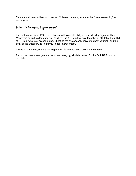Future installments will expand beyond 50 levels, requiring some further "creative naming" as we progress.

# Integrity Towards Improvement

The first rule of BuJoRPG is to be honest with yourself. Did you miss Monday logging? Then Monday is down the drain and you can't get the XP from that day, though you still take the full hit of HP from what you missed doing. Cheating the system only serves to cheat yourself, and the point of the BuJoRPG is to aid you in self improvement.

This is a game, yes, but this is the game of life and you shouldn't cheat yourself.

Part of the martial arts genre is honor and integrity, which is perfect for the BuJoRPG: Wuxia template.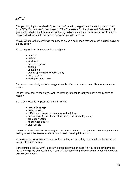#### $SETUP$

This part is going to be a basic "questionnaire" to help you get started in setting up your own BuJoRPG. You can use "three" instead of "four" questions for the Musts and Daily sections if you want to start out a little slower, but having tested as much as I have, more than five is too many and will eventually cause you problems trying to keep up.

Musts: What are the four things you need to do on a daily basis that you aren't actually doing on a daily basis?

Some suggestions for common items might be:

- laundry
- dishes
- yard work
- car maintenance
- dusting
- vacuuming
- setting up the next BuJoRPG day
- go for a walk
- picking up your room

These items are designed to be suggestions, but if one or more of them fits your needs, use them.

Dailies: What four things do you want to develop into habits that you don't already have as habits?

Some suggestions for possible items might be:

- learn a language
- do homework
- list/schedule items (for next day, or the future)
- eat healthier (a healthy meal replacing one unhealthy meal)
- promote website
- fill out habit tracker
- clear emails

These items are designed to be suggestions and I couldn't possibly know what else you want to do in your own life, so use whatever you'd like to develop into a habit.

Achievements: What items do you want to do daily (or near daily) that would be better served using individual tracking?

For examples, look at what I use in the example layout on page 10. You could certainly also include things like scarves knitted if you knit, but something that serves more benefit to you as an individual count.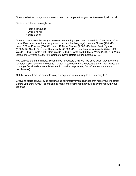Quests: What two things do you want to learn or complete that you can't necessarily do daily?

Some examples of this might be:

- learn a language
- write a novel
- build a shelf

Once you determine the two (or however many) things, you need to establish "benchmarks" for these. Benchmarks for the examples above could be (language): Learn a Phrase (100 XP), Learn 5 More Phrases (500 XP), Learn 10 More Phrases (1,000 XP), Learn Basic Syntax (5,000), Be Able to Converse Reasonably (50,000 XP)… benchmarks for (novel): Write 1,000 Words (100 XP), Write 5,000 More Words (500 XP), Write 25,000 More Words (1,000 XP), Write 50,000 More Words (5,000 XP), Complete Novel Before Editing (50,000 XP)…

You can see the pattern here. Benchmarks for Quests CAN NOT be done twice, they are there for helping you advance and not as a crutch. If you need more levels, add them. Don't reuse the things you've already accomplished (which is why I kept writing "more" in the subsequent benchmarks).

Get the format from the example into your bujo and you're ready to start earning XP!

Everyone starts at Level 1, so start making self improvement changes that make your life better. Before you know it, you'll be making so many improvements that you'll be overjoyed with your progress.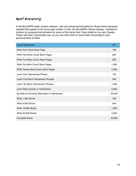# Quest Benchmarks

In the BuJoRPG basic version release, I did not include benchmarks for Quest items because I wanted that system to be more open ended. In this, the BuJoRPG: Wuxia release, I wanted to include my personal benchmarks for some of the items that I have listed on my own Quests. These are what I personally use, so you can take them or leave them according to your personal level of skills.

| <b>Quest Benchmark</b>                        | <b>XP</b> |
|-----------------------------------------------|-----------|
| Write One Comic Book Page                     | 100       |
| Write Two More Comic Book Pages               | 200       |
| Write Five More Comic Book Pages              | 500       |
| Write Ten More Comic Book Pages               | 1,000     |
| Write Twenty More Comic Book Pages            | 2,000     |
| Learn One Vietnamese Phrase                   | 100       |
| Learn Five More Vietnamese Phrases            | 500       |
| Learn Ten More Vietnamese Phrases             | 1,000     |
| Learn Basic Syntax in Vietnamese              | 5,000     |
| Be Able to Converse (Basically) in Vietnamese | 50,000    |
| Write 1,000 Words                             | 100       |
| Write 5,000 Words                             | 500       |
| Write 10,000 Words                            | 1,000     |
| Write 50,000 Words                            | 5,000     |
| <b>Complete Novel</b>                         | 50,000    |